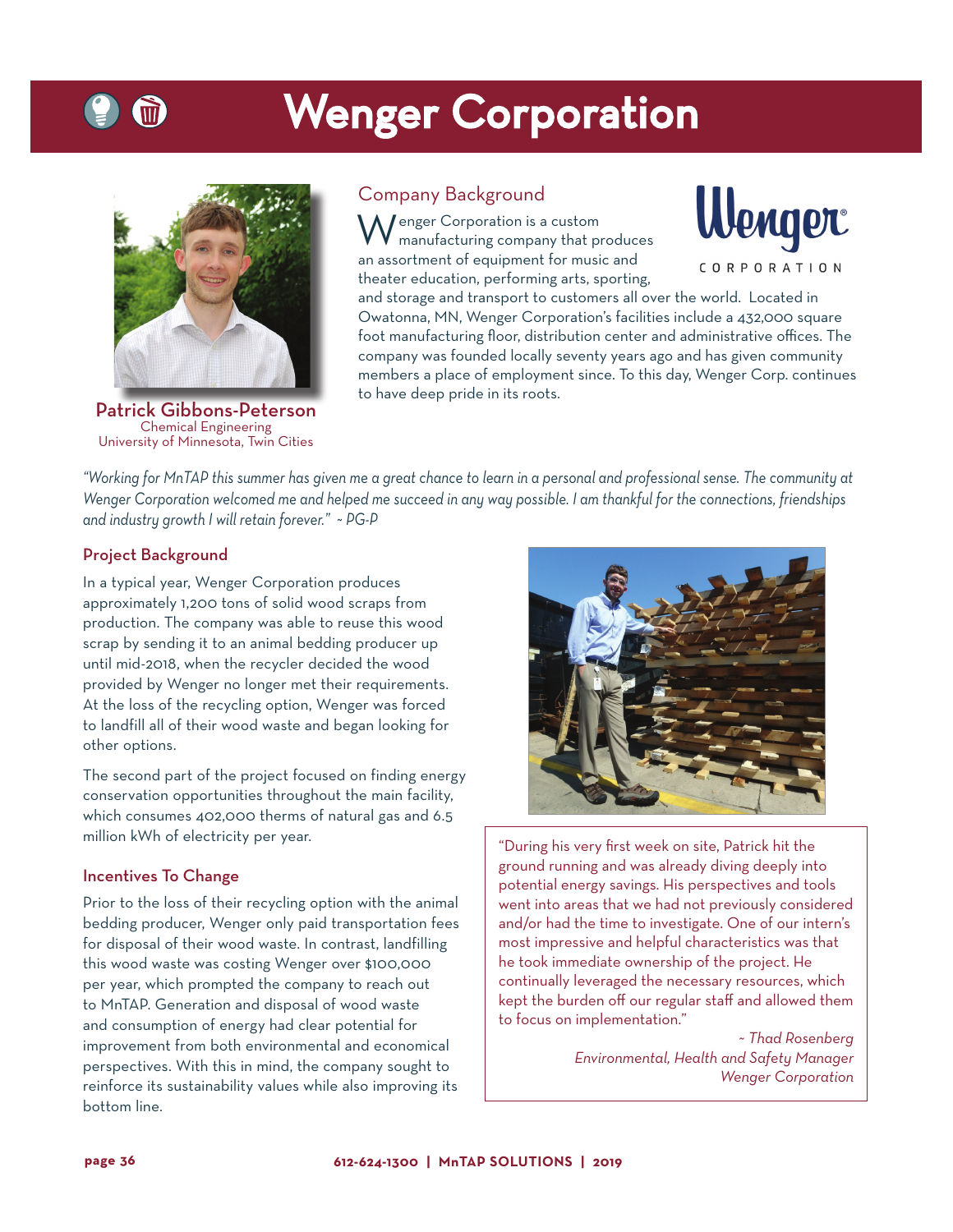# Wenger Corporation



Patrick Gibbons-Peterson Chemical Engineering University of Minnesota, Twin Cities

## Company Background

 $\bigwedge$  enger Corporation is a custom manufacturing company that produces an assortment of equipment for music and theater education, performing arts, sporting,



and storage and transport to customers all over the world. Located in Owatonna, MN, Wenger Corporation's facilities include a 432,000 square foot manufacturing floor, distribution center and administrative offices. The company was founded locally seventy years ago and has given community members a place of employment since. To this day, Wenger Corp. continues to have deep pride in its roots.

*"Working for MnTAP this summer has given me a great chance to learn in a personal and professional sense. The community at Wenger Corporation welcomed me and helped me succeed in any way possible. I am thankful for the connections, friendships and industry growth I will retain forever." ~ PG-P*

## Project Background

In a typical year, Wenger Corporation produces approximately 1,200 tons of solid wood scraps from production. The company was able to reuse this wood scrap by sending it to an animal bedding producer up until mid-2018, when the recycler decided the wood provided by Wenger no longer met their requirements. At the loss of the recycling option, Wenger was forced to landfill all of their wood waste and began looking for other options.

The second part of the project focused on finding energy conservation opportunities throughout the main facility, which consumes 402,000 therms of natural gas and 6.5 million kWh of electricity per year.

#### Incentives To Change

Prior to the loss of their recycling option with the animal bedding producer, Wenger only paid transportation fees for disposal of their wood waste. In contrast, landfilling this wood waste was costing Wenger over \$100,000 per year, which prompted the company to reach out to MnTAP. Generation and disposal of wood waste and consumption of energy had clear potential for improvement from both environmental and economical perspectives. With this in mind, the company sought to reinforce its sustainability values while also improving its bottom line.



"During his very first week on site, Patrick hit the ground running and was already diving deeply into potential energy savings. His perspectives and tools went into areas that we had not previously considered and/or had the time to investigate. One of our intern's most impressive and helpful characteristics was that he took immediate ownership of the project. He continually leveraged the necessary resources, which kept the burden off our regular staff and allowed them to focus on implementation."

> *~ Thad Rosenberg Environmental, Health and Safety Manager Wenger Corporation*